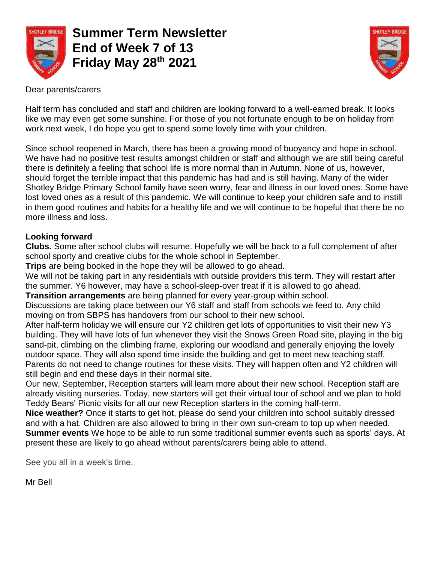

**Summer Term Newsletter End of Week 7 of 13 Friday May 28th 2021** 



Dear parents/carers

Half term has concluded and staff and children are looking forward to a well-earned break. It looks like we may even get some sunshine. For those of you not fortunate enough to be on holiday from work next week, I do hope you get to spend some lovely time with your children.

Since school reopened in March, there has been a growing mood of buoyancy and hope in school. We have had no positive test results amongst children or staff and although we are still being careful there is definitely a feeling that school life is more normal than in Autumn. None of us, however, should forget the terrible impact that this pandemic has had and is still having. Many of the wider Shotley Bridge Primary School family have seen worry, fear and illness in our loved ones. Some have lost loved ones as a result of this pandemic. We will continue to keep your children safe and to instill in them good routines and habits for a healthy life and we will continue to be hopeful that there be no more illness and loss.

## **Looking forward**

**Clubs.** Some after school clubs will resume. Hopefully we will be back to a full complement of after school sporty and creative clubs for the whole school in September.

**Trips** are being booked in the hope they will be allowed to go ahead.

We will not be taking part in any residentials with outside providers this term. They will restart after the summer. Y6 however, may have a school-sleep-over treat if it is allowed to go ahead.

**Transition arrangements** are being planned for every year-group within school.

Discussions are taking place between our Y6 staff and staff from schools we feed to. Any child moving on from SBPS has handovers from our school to their new school.

After half-term holiday we will ensure our Y2 children get lots of opportunities to visit their new Y3 building. They will have lots of fun whenever they visit the Snows Green Road site, playing in the big sand-pit, climbing on the climbing frame, exploring our woodland and generally enjoying the lovely outdoor space. They will also spend time inside the building and get to meet new teaching staff. Parents do not need to change routines for these visits. They will happen often and Y2 children will still begin and end these days in their normal site.

Our new, September, Reception starters will learn more about their new school. Reception staff are already visiting nurseries. Today, new starters will get their virtual tour of school and we plan to hold Teddy Bears' Picnic visits for all our new Reception starters in the coming half-term.

**Nice weather?** Once it starts to get hot, please do send your children into school suitably dressed and with a hat. Children are also allowed to bring in their own sun-cream to top up when needed.

**Summer events** We hope to be able to run some traditional summer events such as sports' days. At present these are likely to go ahead without parents/carers being able to attend.

See you all in a week's time.

Mr Bell